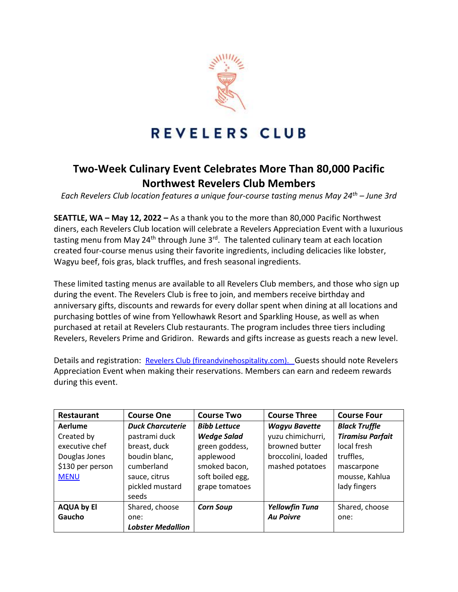

## REVELERS CLUB

## **Two-Week Culinary Event Celebrates More Than 80,000 Pacific Northwest Revelers Club Members**

*Each Revelers Club location features a unique four-course tasting menus May 24th – June 3rd*

**SEATTLE, WA – May 12, 2022 –** As a thank you to the more than 80,000 Pacific Northwest diners, each Revelers Club location will celebrate a Revelers Appreciation Event with a luxurious tasting menu from May 24<sup>th</sup> through June 3<sup>rd</sup>. The talented culinary team at each location created four-course menus using their favorite ingredients, including delicacies like lobster, Wagyu beef, fois gras, black truffles, and fresh seasonal ingredients.

These limited tasting menus are available to all Revelers Club members, and those who sign up during the event. The Revelers Club is free to join, and members receive birthday and anniversary gifts, discounts and rewards for every dollar spent when dining at all locations and purchasing bottles of wine from Yellowhawk Resort and Sparkling House, as well as when purchased at retail at Revelers Club restaurants. The program includes three tiers including Revelers, Revelers Prime and Gridiron. Rewards and gifts increase as guests reach a new level.

Details and registration: [Revelers Club \(fireandvinehospitality.com\).](https://www.fireandvinehospitality.com/revelers/) Guests should note Revelers Appreciation Event when making their reservations. Members can earn and redeem rewards during this event.

| <b>Restaurant</b> | <b>Course One</b>        | <b>Course Two</b>   | <b>Course Three</b>   | <b>Course Four</b>      |
|-------------------|--------------------------|---------------------|-----------------------|-------------------------|
| Aerlume           | <b>Duck Charcuterie</b>  | <b>Bibb Lettuce</b> | <b>Wagyu Bavette</b>  | <b>Black Truffle</b>    |
| Created by        | pastrami duck            | <b>Wedge Salad</b>  | yuzu chimichurri,     | <b>Tiramisu Parfait</b> |
| executive chef    | breast, duck             | green goddess,      | browned butter        | local fresh             |
| Douglas Jones     | boudin blanc,            | applewood           | broccolini, loaded    | truffles,               |
| \$130 per person  | cumberland               | smoked bacon,       | mashed potatoes       | mascarpone              |
| <b>MENU</b>       | sauce, citrus            | soft boiled egg,    |                       | mousse, Kahlua          |
|                   | pickled mustard          | grape tomatoes      |                       | lady fingers            |
|                   | seeds                    |                     |                       |                         |
| <b>AQUA by El</b> | Shared, choose           | <b>Corn Soup</b>    | <b>Yellowfin Tuna</b> | Shared, choose          |
| Gaucho            | one:                     |                     | <b>Au Poivre</b>      | one:                    |
|                   | <b>Lobster Medallion</b> |                     |                       |                         |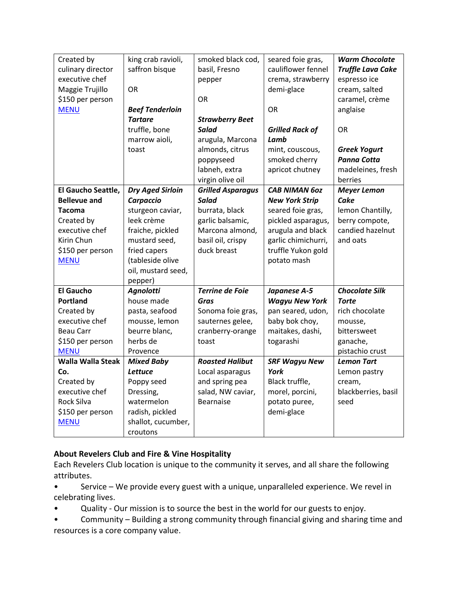| Created by               | king crab ravioli,      | smoked black cod,        | seared foie gras,      | <b>Warm Chocolate</b>    |
|--------------------------|-------------------------|--------------------------|------------------------|--------------------------|
| culinary director        | saffron bisque          | basil, Fresno            | cauliflower fennel     | <b>Truffle Lava Cake</b> |
| executive chef           |                         | pepper                   | crema, strawberry      | espresso ice             |
| Maggie Trujillo          | <b>OR</b>               |                          | demi-glace             | cream, salted            |
| \$150 per person         |                         | 0R                       |                        | caramel, crème           |
| <b>MENU</b>              | <b>Beef Tenderloin</b>  |                          | <b>OR</b>              | anglaise                 |
|                          | <b>Tartare</b>          | <b>Strawberry Beet</b>   |                        |                          |
|                          | truffle, bone           | <b>Salad</b>             | <b>Grilled Rack of</b> | OR                       |
|                          | marrow aioli,           | arugula, Marcona         | Lamb                   |                          |
|                          | toast                   | almonds, citrus          | mint, couscous,        | <b>Greek Yogurt</b>      |
|                          |                         | poppyseed                | smoked cherry          | <b>Panna Cotta</b>       |
|                          |                         | labneh, extra            | apricot chutney        | madeleines, fresh        |
|                          |                         | virgin olive oil         |                        | berries                  |
| El Gaucho Seattle,       | <b>Dry Aged Sirloin</b> | <b>Grilled Asparagus</b> | <b>CAB NIMAN 60Z</b>   | <b>Meyer Lemon</b>       |
| <b>Bellevue and</b>      | Carpaccio               | <b>Salad</b>             | <b>New York Strip</b>  | Cake                     |
| <b>Tacoma</b>            | sturgeon caviar,        | burrata, black           | seared foie gras,      | lemon Chantilly,         |
| Created by               | leek crème              | garlic balsamic,         | pickled asparagus,     | berry compote,           |
| executive chef           | fraiche, pickled        | Marcona almond,          | arugula and black      | candied hazelnut         |
| Kirin Chun               | mustard seed,           | basil oil, crispy        | garlic chimichurri,    | and oats                 |
| \$150 per person         | fried capers            | duck breast              | truffle Yukon gold     |                          |
| <b>MENU</b>              | (tableside olive        |                          | potato mash            |                          |
|                          | oil, mustard seed,      |                          |                        |                          |
|                          | pepper)                 |                          |                        |                          |
| <b>El Gaucho</b>         | <b>Agnolotti</b>        | <b>Terrine de Foie</b>   | Japanese A-5           | <b>Chocolate Silk</b>    |
| <b>Portland</b>          | house made              | Gras                     | <b>Wagyu New York</b>  | <b>Torte</b>             |
| Created by               | pasta, seafood          | Sonoma foie gras,        | pan seared, udon,      | rich chocolate           |
| executive chef           | mousse, lemon           | sauternes gelee,         | baby bok choy,         | mousse,                  |
| <b>Beau Carr</b>         | beurre blanc,           | cranberry-orange         | maitakes, dashi,       | bittersweet              |
| \$150 per person         | herbs de                | toast                    | togarashi              | ganache,                 |
| <b>MENU</b>              | Provence                |                          |                        | pistachio crust          |
| <b>Walla Walla Steak</b> | <b>Mixed Baby</b>       | <b>Roasted Halibut</b>   | <b>SRF Wagyu New</b>   | <b>Lemon Tart</b>        |
| Co.                      | Lettuce                 | Local asparagus          | York                   | Lemon pastry             |
| Created by               | Poppy seed              | and spring pea           | Black truffle,         | cream,                   |
| executive chef           | Dressing,               | salad, NW caviar,        | morel, porcini,        | blackberries, basil      |
| Rock Silva               | watermelon              | <b>Bearnaise</b>         | potato puree,          | seed                     |
| \$150 per person         | radish, pickled         |                          | demi-glace             |                          |
| <b>MENU</b>              | shallot, cucumber,      |                          |                        |                          |
|                          | croutons                |                          |                        |                          |

## **About Revelers Club and Fire & Vine Hospitality**

Each Revelers Club location is unique to the community it serves, and all share the following attributes.

• Service – We provide every guest with a unique, unparalleled experience. We revel in celebrating lives.

• Quality - Our mission is to source the best in the world for our guests to enjoy.

• Community – Building a strong community through financial giving and sharing time and resources is a core company value.